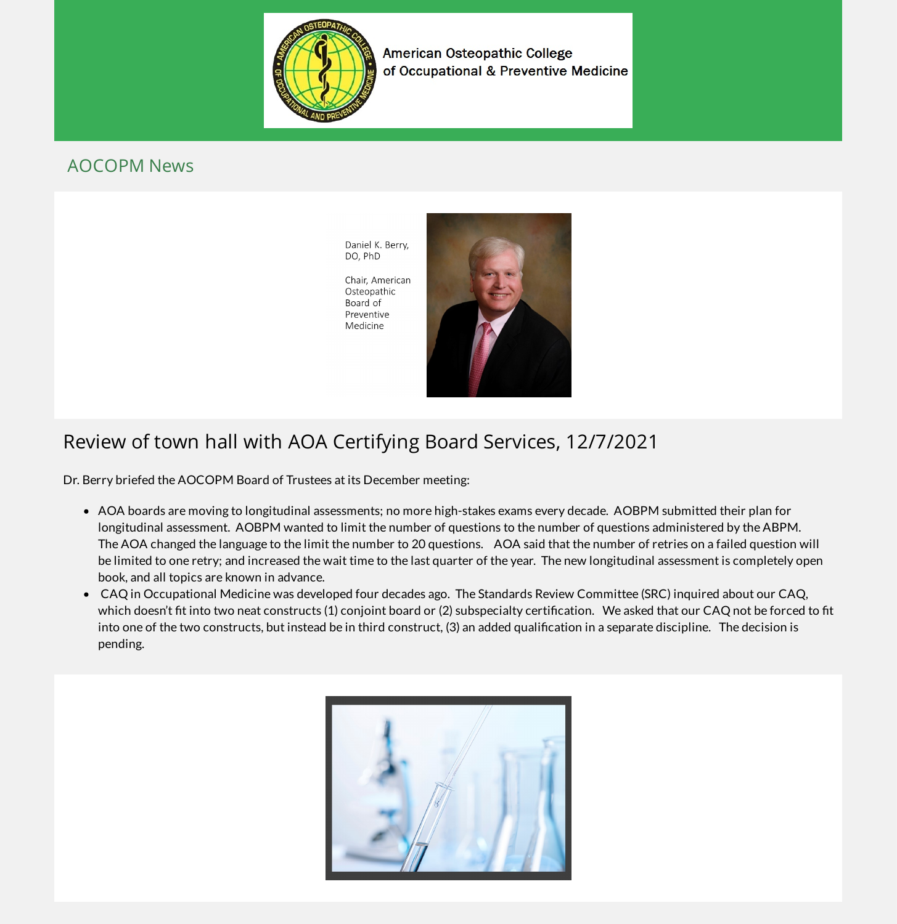

**American Osteopathic College** of Occupational & Preventive Medicine

#### AOCOPM News

Daniel K. Berry, DO, PhD

Chair, American Osteopathic Board of Preventive Medicine



## Review of town hall with AOA Certifying Board Services, 12/7/2021

Dr. Berry briefed the AOCOPM Board of Trustees at its December meeting:

- AOA boards are moving to longitudinal assessments; no more high-stakes exams every decade. AOBPM submitted their plan for longitudinal assessment. AOBPM wanted to limit the number of questions to the number of questions administered by the ABPM. The AOA changed the language to the limit the number to 20 questions. AOA said that the number of retries on a failed question will be limited to one retry; and increased the wait time to the last quarter of the year. The new longitudinal assessment is completely open book, and all topics are known in advance.
- CAQ in Occupational Medicine was developed four decades ago. The Standards Review Committee (SRC) inquired about our CAQ, which doesn't fit into two neat constructs (1) conjoint board or (2) subspecialty certification. We asked that our CAQ not be forced to fit into one of the two constructs, but instead be in third construct, (3) an added qualification in a separate discipline. The decision is pending.

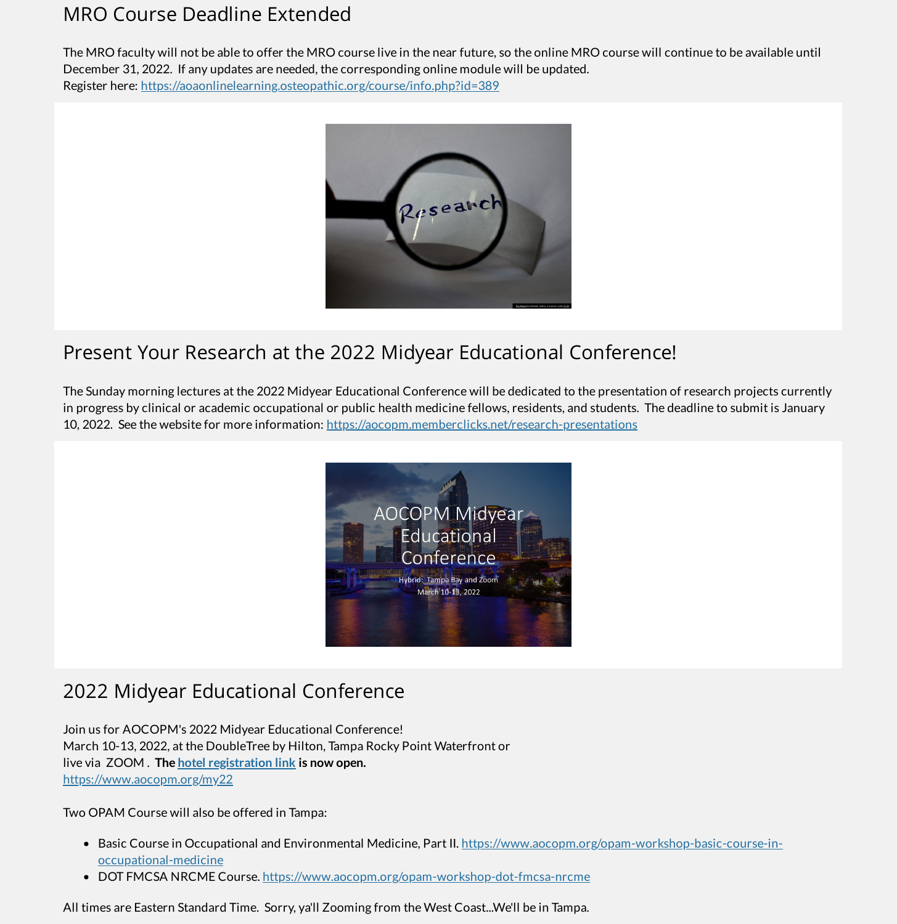### MRO Course Deadline Extended

The MRO faculty will not be able to offer the MRO course live in the near future, so the online MRO course will continue to be available until December 31, 2022. If any updates are needed, the corresponding online module will be updated. Register here: <https://aoaonlinelearning.osteopathic.org/course/info.php?id=389>



### Present Your Research at the 2022 Midyear Educational Conference!

The Sunday morning lectures at the 2022 Midyear Educational Conference will be dedicated to the presentation of research projects currently in progress by clinical or academic occupational or public health medicine fellows, residents, and students. The deadline to submit is January 10, 2022. See the website for more information: <https://aocopm.memberclicks.net/research-presentations>



## 2022 Midyear Educational Conference

Join us for AOCOPM's 2022 Midyear Educational Conference! March 10-13, 2022, at the DoubleTree by Hilton, Tampa Rocky Point Waterfront or live via ZOOM . **The hotel [registration](https://www.hilton.com/en/attend-my-event/aocopm-conference-2022/) link is now open.** <https://www.aocopm.org/my22>

Two OPAM Course will also be offered in Tampa:

- Basic Course in Occupational and Environmental Medicine, Part II. [https://www.aocopm.org/opam-workshop-basic-course-in](https://www.aocopm.org/opam-workshop-basic-course-in-occupational-medicine)occupational-medicine
- DOT FMCSA NRCME Course. <https://www.aocopm.org/opam-workshop-dot-fmcsa-nrcme>

All times are Eastern Standard Time. Sorry, ya'll Zooming from the West Coast...We'll be in Tampa.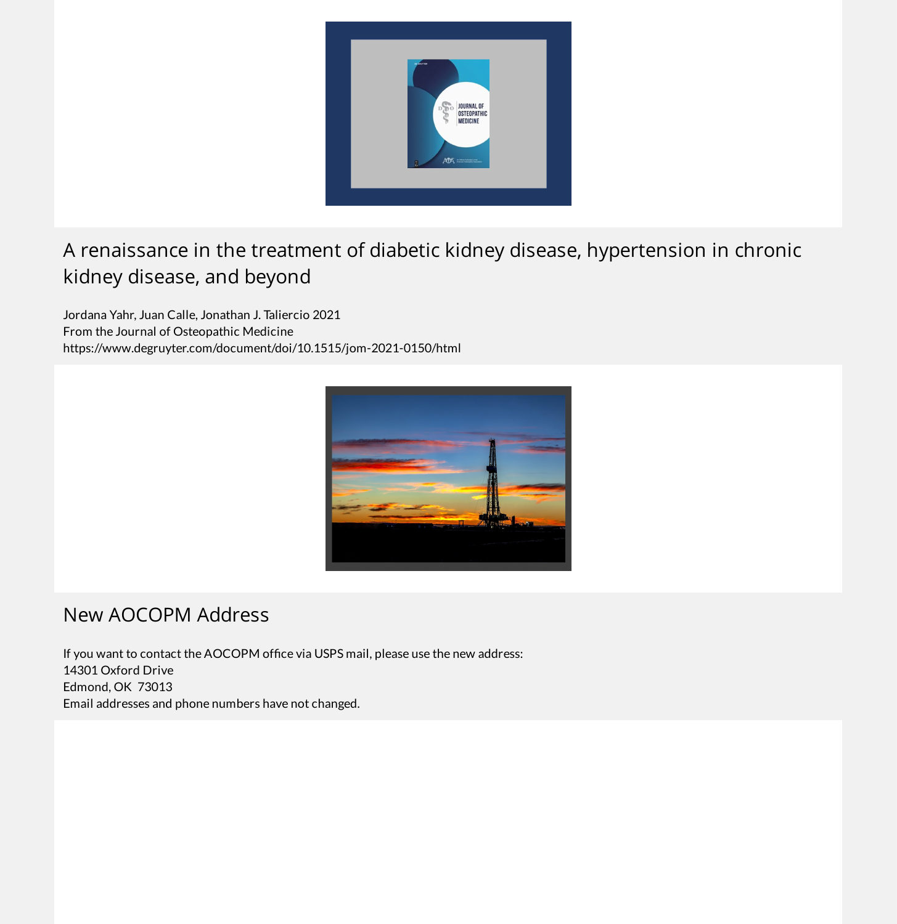

# A renaissance in the treatment of diabetic kidney disease, hypertension in chronic kidney disease, and beyond

Jordana Yahr, Juan Calle, Jonathan J. Taliercio 2021 From the Journal of Osteopathic Medicine https://www.degruyter.com/document/doi/10.1515/jom-2021-0150/html



### New AOCOPM Address

If you want to contact the AOCOPM office via USPS mail, please use the new address: 14301 Oxford Drive Edmond, OK 73013 Email addresses and phone numbers have not changed.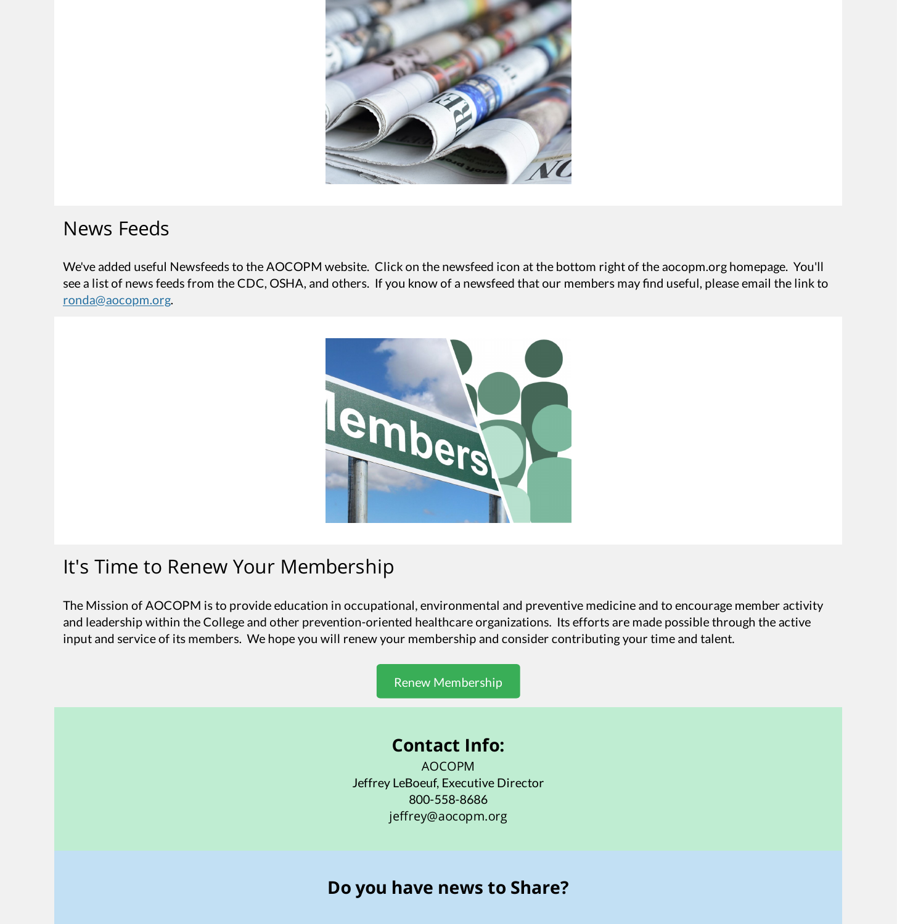

### News Feeds

We've added useful Newsfeeds to the AOCOPM website. Click on the newsfeed icon at the bottom right of the aocopm.org homepage. You'll see a list of news feeds from the CDC, OSHA, and others. If you know of a newsfeed that our members may find useful, please email the link to [ronda@aocopm.org](mailto:ronda@aocopm.org).



# It's Time to Renew Your Membership

The Mission of AOCOPM is to provide education in occupational, environmental and preventive medicine and to encourage member activity and leadership within the College and other prevention-oriented healthcare organizations. Its efforts are made possible through the active input and service of its members. We hope you will renew your membership and consider contributing your time and talent.

Renew [Membership](https://aocopm.memberclicks.net/index.php?option=com_mcform&view=ngforms&id=2021745)

#### **Contact Info:**

AOCOPM Jeffrey LeBoeuf, Executive Director 800-558-8686 jeffrey@aocopm.org

### **Do you have news to Share?**